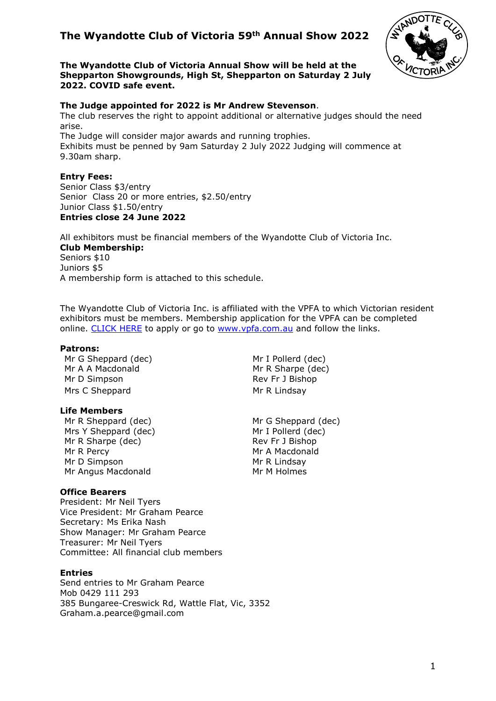

#### **The Wyandotte Club of Victoria Annual Show will be held at the Shepparton Showgrounds, High St, Shepparton on Saturday 2 July 2022. COVID safe event.**

### **The Judge appointed for 2022 is Mr Andrew Stevenson**.

The club reserves the right to appoint additional or alternative judges should the need arise.

The Judge will consider major awards and running trophies. Exhibits must be penned by 9am Saturday 2 July 2022 Judging will commence at 9.30am sharp.

#### **Entry Fees:**

Senior Class \$3/entry Senior Class 20 or more entries, \$2.50/entry Junior Class \$1.50/entry **Entries close 24 June 2022**

All exhibitors must be financial members of the Wyandotte Club of Victoria Inc. **Club Membership:** Seniors \$10 Juniors \$5 A membership form is attached to this schedule.

The Wyandotte Club of Victoria Inc. is affiliated with the VPFA to which Victorian resident exhibitors must be members. Membership application for the VPFA can be completed online. [CLICK HERE](http://www.vpfa.com.au/merchandise/shop/vpfa-membership/) to apply or go to [www.vpfa.com.au](http://www.vpfa.com.au/) and follow the links.

#### **Patrons:**

Mr G Sheppard (dec) Mr I Pollerd (dec) Mr A A Macdonald Mr R Sharpe (dec) Mr D Simpson Rev Fr J Bishop Mrs C Sheppard Mr R Lindsay

#### **Life Members**

Mr R Sheppard (dec) Mr G Sheppard (dec) Mrs Y Sheppard (dec) Mr I Pollerd (dec) Mr R Sharpe (dec) Rev Fr J Bishop Mr R Percy **Mr A Macdonald** Mr D Simpson Mr R Lindsay Mr Angus Macdonald Mr M Holmes

#### **Office Bearers**

President: Mr Neil Tyers Vice President: Mr Graham Pearce Secretary: Ms Erika Nash Show Manager: Mr Graham Pearce Treasurer: Mr Neil Tyers Committee: All financial club members

#### **Entries**

Send entries to Mr Graham Pearce Mob 0429 111 293 385 Bungaree-Creswick Rd, Wattle Flat, Vic, 3352 Graham.a.pearce@gmail.com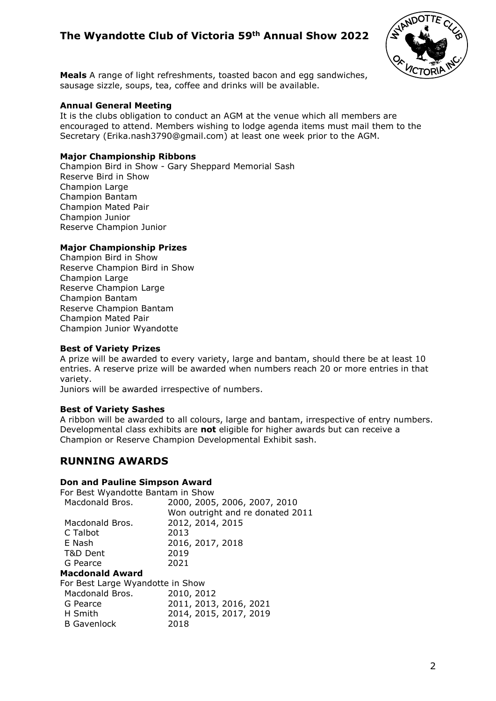

**Meals** A range of light refreshments, toasted bacon and egg sandwiches, sausage sizzle, soups, tea, coffee and drinks will be available.

#### **Annual General Meeting**

It is the clubs obligation to conduct an AGM at the venue which all members are encouraged to attend. Members wishing to lodge agenda items must mail them to the Secretary (Erika.nash3790@gmail.com) at least one week prior to the AGM.

#### **Major Championship Ribbons**

Champion Bird in Show - Gary Sheppard Memorial Sash Reserve Bird in Show Champion Large Champion Bantam Champion Mated Pair Champion Junior Reserve Champion Junior

#### **Major Championship Prizes**

Champion Bird in Show Reserve Champion Bird in Show Champion Large Reserve Champion Large Champion Bantam Reserve Champion Bantam Champion Mated Pair Champion Junior Wyandotte

#### **Best of Variety Prizes**

A prize will be awarded to every variety, large and bantam, should there be at least 10 entries. A reserve prize will be awarded when numbers reach 20 or more entries in that variety.

Juniors will be awarded irrespective of numbers.

#### **Best of Variety Sashes**

A ribbon will be awarded to all colours, large and bantam, irrespective of entry numbers. Developmental class exhibits are **not** eligible for higher awards but can receive a Champion or Reserve Champion Developmental Exhibit sash.

## **RUNNING AWARDS**

#### **Don and Pauline Simpson Award**

| For Best Wyandotte Bantam in Show |                                  |  |
|-----------------------------------|----------------------------------|--|
| Macdonald Bros.                   | 2000, 2005, 2006, 2007, 2010     |  |
|                                   | Won outright and re donated 2011 |  |
| Macdonald Bros.                   | 2012, 2014, 2015                 |  |
| C Talbot                          | 2013                             |  |
| E Nash                            | 2016, 2017, 2018                 |  |
| T&D Dent                          | 2019                             |  |
| G Pearce                          | 2021                             |  |
| <b>Macdonald Award</b>            |                                  |  |
| For Best Large Wyandotte in Show  |                                  |  |
| Macdonald Bros.                   | 2010, 2012                       |  |
| G Pearce                          | 2011, 2013, 2016, 2021           |  |
| H Smith                           | 2014, 2015, 2017, 2019           |  |
| <b>B</b> Gavenlock                | 2018                             |  |
|                                   |                                  |  |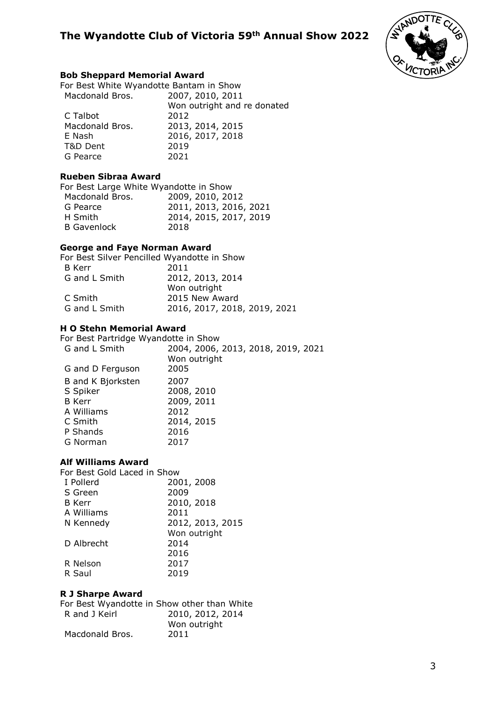

## **Bob Sheppard Memorial Award**

For Best White Wyandotte Bantam in Show Macdonald Bros. 2007, 2010, 2011 Won outright and re donated C Talbot 2012 Macdonald Bros. 2013, 2014, 2015 E Nash 2016, 2017, 2018 T&D Dent G Pearce 2019 2021

### **Rueben Sibraa Award**

| For Best Large White Wyandotte in Show |                        |
|----------------------------------------|------------------------|
| Macdonald Bros.                        | 2009, 2010, 2012       |
| G Pearce                               | 2011, 2013, 2016, 2021 |
| H Smith                                | 2014, 2015, 2017, 2019 |
| <b>B</b> Gavenlock                     | 2018                   |

#### **George and Faye Norman Award**

| For Best Silver Pencilled Wyandotte in Show |                              |  |
|---------------------------------------------|------------------------------|--|
| <b>B</b> Kerr                               | 2011                         |  |
| G and L Smith                               | 2012, 2013, 2014             |  |
|                                             | Won outright                 |  |
| C Smith                                     | 2015 New Award               |  |
| G and L Smith                               | 2016, 2017, 2018, 2019, 2021 |  |
|                                             |                              |  |

## **H O Stehn Memorial Award**

For Best Partridge Wyandotte in Show

G and L Smith 2004, 2006, 2013, 2018, 2019, 2021 Won outright G and D Ferguson 2005 B and K Bjorksten 2007 S Spiker 2008, 2010<br>B Kerr 2009, 2011 2009, 2011 A Williams 2012 C Smith 2014, 2015 P Shands 2016 G Norman 2017

### **Alf Williams Award**

| For Best Gold Laced in Show |                  |  |
|-----------------------------|------------------|--|
| I Pollerd                   | 2001, 2008       |  |
| S Green                     | 2009             |  |
| <b>B</b> Kerr               | 2010, 2018       |  |
| A Williams                  | 2011             |  |
| N Kennedy                   | 2012, 2013, 2015 |  |
|                             | Won outright     |  |
| D Albrecht                  | 2014             |  |
|                             | 2016             |  |
| R Nelson                    | 2017             |  |
| R Saul                      | 2019             |  |
|                             |                  |  |

#### **R J Sharpe Award**

For Best Wyandotte in Show other than White R and J Keirl 2010, 2012, 2014 Won outright Macdonald Bros. 2011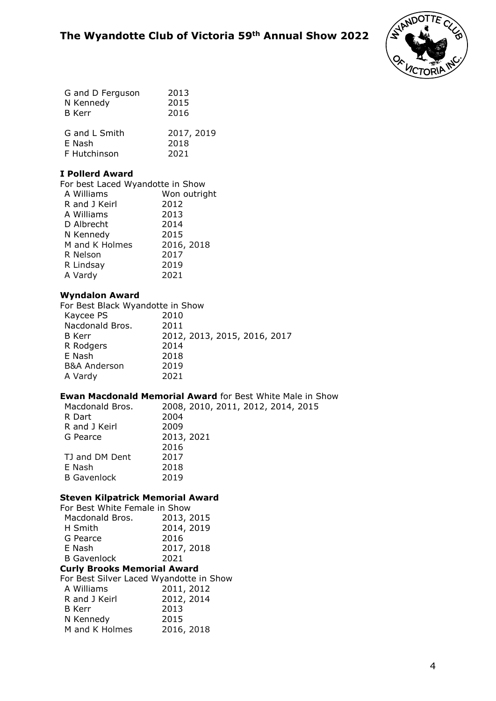

| G and D Ferguson                        | 2013                       |
|-----------------------------------------|----------------------------|
| N Kennedy                               | 2015                       |
| <b>B</b> Kerr                           | 2016                       |
| G and L Smith<br>E Nash<br>F Hutchinson | 2017, 2019<br>2018<br>2021 |

## **I Pollerd Award**

| For best Laced Wyandotte in Show |              |  |
|----------------------------------|--------------|--|
| A Williams                       | Won outright |  |
| R and J Keirl                    | 2012         |  |
| A Williams                       | 2013         |  |
| D Albrecht                       | 2014         |  |
| N Kennedy                        | 2015         |  |
| M and K Holmes                   | 2016, 2018   |  |
| R Nelson                         | 2017         |  |
| R Lindsay                        | 2019         |  |
| A Vardy                          | 2021         |  |
|                                  |              |  |

## **Wyndalon Award**

For Best Black Wyandotte in Show

| Kaycee PS               | 2010                         |
|-------------------------|------------------------------|
| Nacdonald Bros.         | 2011                         |
| B Kerr                  | 2012, 2013, 2015, 2016, 2017 |
| R Rodgers               | 2014                         |
| E Nash                  | 2018                         |
| <b>B&amp;A Anderson</b> | 2019                         |
| A Vardy                 | 2021                         |
|                         |                              |

## **Ewan Macdonald Memorial Award** for Best White Male in Show

| Macdonald Bros.    | 2008, 2010, 2011, 2012, 2014, 2015 |
|--------------------|------------------------------------|
| R Dart             | 2004                               |
| R and J Keirl      | 2009                               |
| G Pearce           | 2013, 2021                         |
|                    | 2016                               |
| TJ and DM Dent     | 2017                               |
| E Nash             | 2018                               |
| <b>B</b> Gavenlock | 2019                               |
|                    |                                    |

## **Steven Kilpatrick Memorial Award**

| For Best White Female in Show           |            |
|-----------------------------------------|------------|
| Macdonald Bros.                         | 2013, 2015 |
| H Smith                                 | 2014, 2019 |
| G Pearce                                | 2016       |
| E Nash                                  | 2017, 2018 |
| <b>B</b> Gavenlock                      | 2021       |
| <b>Curly Brooks Memorial Award</b>      |            |
| For Best Silver Laced Wyandotte in Show |            |
| A Williams                              | 2011, 2012 |
| R and J Keirl                           | 2012, 2014 |
| B Kerr                                  | 2013       |
| N Kennedy                               | 2015       |
| M and K Holmes                          | 2016, 2018 |
|                                         |            |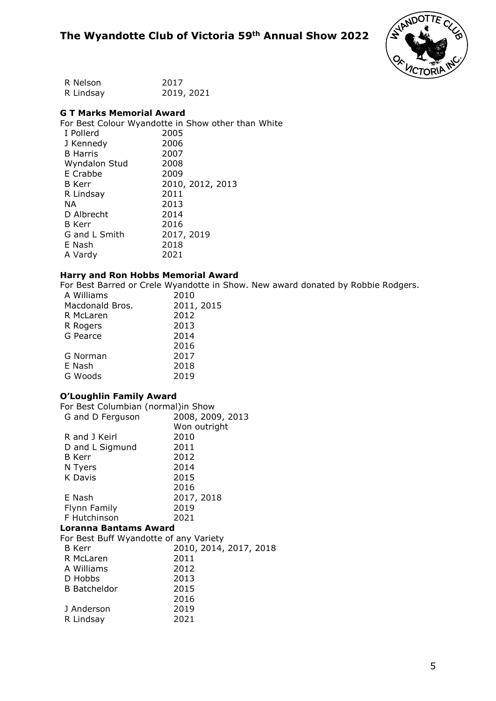

| R Nelson  | 2017       |
|-----------|------------|
| R Lindsay | 2019, 2021 |

### **G T Marks Memorial Award**

For Best Colour Wyandotte in Show other than White I Pollerd 2005 J Kennedy 2006 B Harris 2007 Wyndalon Stud 2008 E Crabbe 2009 B Kerr 2010, 2012, 2013 R Lindsay 2011 NA 2013<br>D Albrecht 2014 D Albrecht B Kerr 2016 G and L Smith 2017, 2019 E Nash A Vardy 2018 2021

### **Harry and Ron Hobbs Memorial Award**

For Best Barred or Crele Wyandotte in Show. New award donated by Robbie Rodgers.

| A Williams      | 2010       |
|-----------------|------------|
| Macdonald Bros. | 2011, 2015 |
| R McLaren       | 2012       |
| R Rogers        | 2013       |
| G Pearce        | 2014       |
|                 | 2016       |
| G Norman        | 2017       |
| E Nash          | 2018       |
| G Woods         | 2019       |
|                 |            |

## **O'Loughlin Family Award**

| For Best Columbian (normal)in Show     |                        |  |
|----------------------------------------|------------------------|--|
| G and D Ferguson                       | 2008, 2009, 2013       |  |
|                                        | Won outright           |  |
| R and J Keirl                          | 2010                   |  |
| D and L Sigmund                        | 2011                   |  |
| B Kerr                                 | 2012                   |  |
| N Tyers                                | 2014                   |  |
| K Davis                                | 2015                   |  |
|                                        | 2016                   |  |
| E Nash                                 | 2017, 2018             |  |
| Flynn Family                           | 2019                   |  |
| F Hutchinson                           | 2021                   |  |
| <b>Loranna Bantams Award</b>           |                        |  |
| For Best Buff Wyandotte of any Variety |                        |  |
| <b>B</b> Kerr                          | 2010, 2014, 2017, 2018 |  |
| R McLaren                              | 2011                   |  |
| A Williams                             | 2012                   |  |
| D Hobbs                                | 2013                   |  |
| <b>B</b> Batcheldor                    | 2015                   |  |
|                                        | 2016                   |  |
| J Anderson                             | 2019                   |  |
| R Lindsay                              | 2021                   |  |
|                                        |                        |  |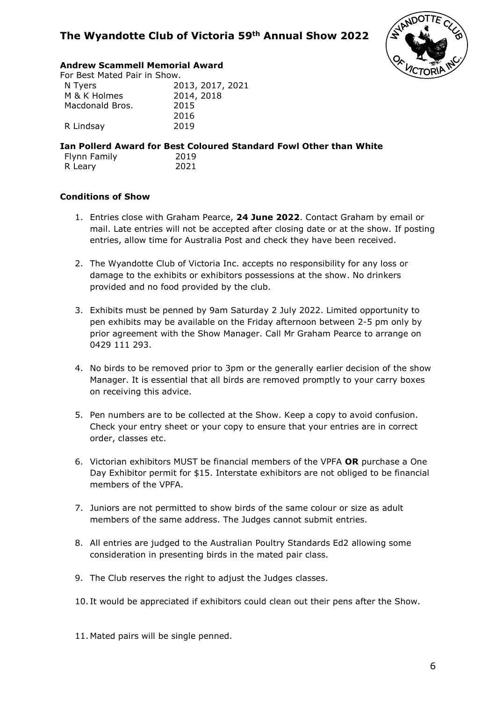

## **Andrew Scammell Memorial Award**

| For Best Mated Pair in Show. |                  |  |
|------------------------------|------------------|--|
| N Tyers                      | 2013, 2017, 2021 |  |
| M & K Holmes                 | 2014, 2018       |  |
| Macdonald Bros.              | 2015             |  |
|                              | 2016             |  |
| R Lindsay                    | 2019             |  |

## **Ian Pollerd Award for Best Coloured Standard Fowl Other than White**

| Flynn Family | 2019 |
|--------------|------|
| R Leary      | 2021 |

## **Conditions of Show**

- 1. Entries close with Graham Pearce, **24 June 2022**. Contact Graham by email or mail. Late entries will not be accepted after closing date or at the show. If posting entries, allow time for Australia Post and check they have been received.
- 2. The Wyandotte Club of Victoria Inc. accepts no responsibility for any loss or damage to the exhibits or exhibitors possessions at the show. No drinkers provided and no food provided by the club.
- 3. Exhibits must be penned by 9am Saturday 2 July 2022. Limited opportunity to pen exhibits may be available on the Friday afternoon between 2-5 pm only by prior agreement with the Show Manager. Call Mr Graham Pearce to arrange on 0429 111 293.
- 4. No birds to be removed prior to 3pm or the generally earlier decision of the show Manager. It is essential that all birds are removed promptly to your carry boxes on receiving this advice.
- 5. Pen numbers are to be collected at the Show. Keep a copy to avoid confusion. Check your entry sheet or your copy to ensure that your entries are in correct order, classes etc.
- 6. Victorian exhibitors MUST be financial members of the VPFA **OR** purchase a One Day Exhibitor permit for \$15. Interstate exhibitors are not obliged to be financial members of the VPFA.
- 7. Juniors are not permitted to show birds of the same colour or size as adult members of the same address. The Judges cannot submit entries.
- 8. All entries are judged to the Australian Poultry Standards Ed2 allowing some consideration in presenting birds in the mated pair class.
- 9. The Club reserves the right to adjust the Judges classes.
- 10. It would be appreciated if exhibitors could clean out their pens after the Show.
- 11. Mated pairs will be single penned.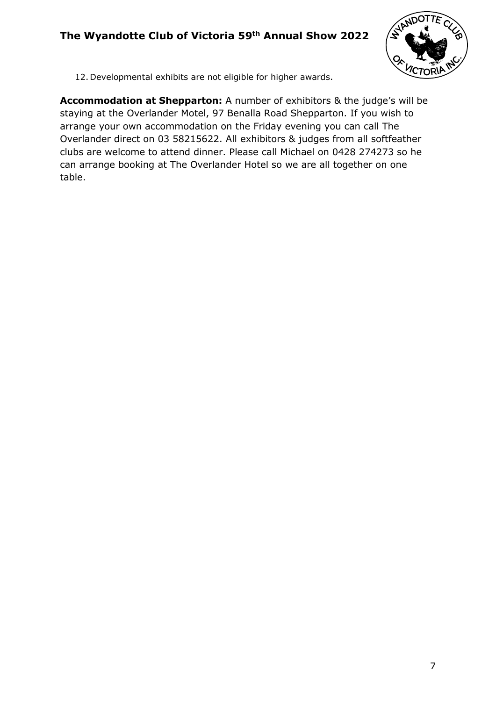

12. Developmental exhibits are not eligible for higher awards.

**Accommodation at Shepparton:** A number of exhibitors & the judge's will be staying at the Overlander Motel, 97 Benalla Road Shepparton. If you wish to arrange your own accommodation on the Friday evening you can call The Overlander direct on 03 58215622. All exhibitors & judges from all softfeather clubs are welcome to attend dinner. Please call Michael on 0428 274273 so he can arrange booking at The Overlander Hotel so we are all together on one table.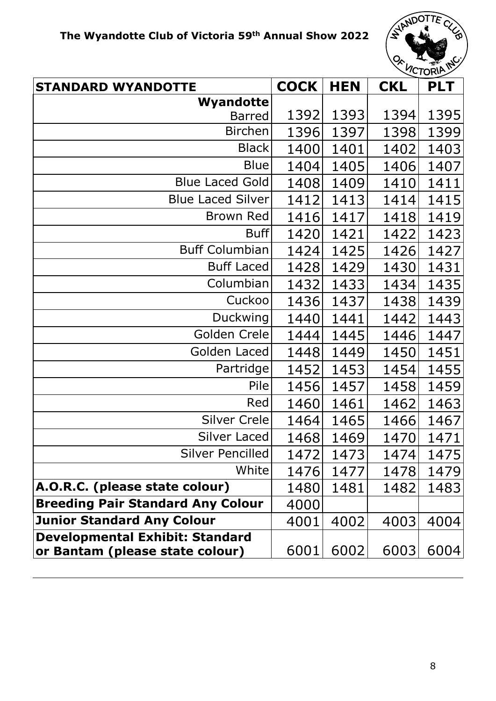

| <b>STANDARD WYANDOTTE</b>                                                 | <b>COCK</b> | <b>HEN</b> | <b>CKL</b> | <b>PLT</b> |
|---------------------------------------------------------------------------|-------------|------------|------------|------------|
| Wyandotte                                                                 |             |            |            |            |
| <b>Barred</b>                                                             | 1392        | 1393       | 1394       | 1395       |
| <b>Birchen</b>                                                            | 1396        | 1397       | 1398       | 1399       |
| <b>Black</b>                                                              | 1400        | 1401       | 1402       | 1403       |
| <b>Blue</b>                                                               | 1404        | 1405       | 1406       | 1407       |
| <b>Blue Laced Gold</b>                                                    | 1408        | 1409       | 1410       | 1411       |
| <b>Blue Laced Silver</b>                                                  | 1412        | 1413       | 1414       | 1415       |
| Brown Red                                                                 | 1416        | 1417       | 1418       | 1419       |
| <b>Buff</b>                                                               | 1420        | 1421       | 1422       | 1423       |
| <b>Buff Columbian</b>                                                     | 1424        | 1425       | 1426       | 1427       |
| <b>Buff Laced</b>                                                         | 1428        | 1429       | 1430       | 1431       |
| Columbian                                                                 | 1432        | 1433       | 1434       | 1435       |
| Cuckoo                                                                    | 1436        | 1437       | 1438       | 1439       |
| <b>Duckwing</b>                                                           | 1440        | 1441       | 1442       | 1443       |
| Golden Crele                                                              | 1444        | 1445       | 1446       | 1447       |
| Golden Laced                                                              | 1448        | 1449       | 1450       | 1451       |
| Partridge                                                                 | 1452        | 1453       | 1454       | 1455       |
| Pile                                                                      | 1456        | 1457       | 1458       | 1459       |
| Red                                                                       | 1460        | 1461       | 1462       | 1463       |
| Silver Crele                                                              | 1464        | 1465       | 1466       | 1467       |
| <b>Silver Laced</b>                                                       | 1468        | 1469       | 1470       | 1471       |
| Silver Pencilled                                                          | 1472        | 1473       | 1474       | 1475       |
| White                                                                     | 1476        | 1477       | 1478       | 1479       |
| A.O.R.C. (please state colour)                                            | 1480        | 1481       | 1482       | 1483       |
| <b>Breeding Pair Standard Any Colour</b>                                  | 4000        |            |            |            |
| <b>Junior Standard Any Colour</b>                                         | 4001        | 4002       | 4003       | 4004       |
| <b>Developmental Exhibit: Standard</b><br>or Bantam (please state colour) | 6001        | 6002       | 6003       | 6004       |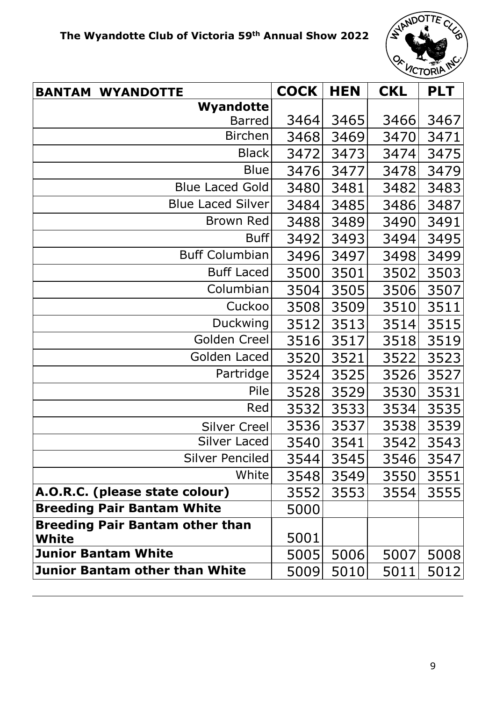

| <b>BANTAM</b><br><b>WYANDOTTE</b>      | <b>COCK</b> | <b>HEN</b> | <b>CKL</b> | <b>PLT</b> |
|----------------------------------------|-------------|------------|------------|------------|
| Wyandotte                              |             |            |            |            |
| <b>Barred</b>                          | 3464        | 3465       | 3466       | 3467       |
| <b>Birchen</b>                         | 3468        | 3469       | 3470       | 3471       |
| <b>Black</b>                           | 3472        | 3473       | 3474       | 3475       |
| <b>Blue</b>                            | 3476        | 3477       | 3478       | 3479       |
| <b>Blue Laced Gold</b>                 | 3480        | 3481       | 3482       | 3483       |
| <b>Blue Laced Silver</b>               | 3484        | 3485       | 3486       | 3487       |
| <b>Brown Red</b>                       | 3488        | 3489       | 3490       | 3491       |
| <b>Buff</b>                            | 3492        | 3493       | 3494       | 3495       |
| <b>Buff Columbian</b>                  | 3496        | 3497       | 3498       | 3499       |
| <b>Buff Laced</b>                      | 3500        | 3501       | 3502       | 3503       |
| Columbian                              | 3504        | 3505       | 3506       | 3507       |
| Cuckoo                                 | 3508        | 3509       | 3510       | 3511       |
| Duckwing                               | 3512        | 3513       | 3514       | 3515       |
| Golden Creel                           | 3516        | 3517       | 3518       | 3519       |
| Golden Laced                           | 3520        | 3521       | 3522       | 3523       |
| Partridge                              | 3524        | 3525       | 3526       | 3527       |
| Pile                                   | 3528        | 3529       | 3530       | 3531       |
| Red                                    | 3532        | 3533       | 3534       | 3535       |
| <b>Silver Creel</b>                    | 3536        | 3537       | 3538       | 3539       |
| Silver Laced                           | 3540        | 3541       | 3542       | 3543       |
| Silver Penciled                        | 3544        | 3545       | 3546       | 3547       |
| White                                  | 3548        | 3549       | 3550       | 3551       |
| A.O.R.C. (please state colour)         | 3552        | 3553       | 3554       | 3555       |
| <b>Breeding Pair Bantam White</b>      | 5000        |            |            |            |
| <b>Breeding Pair Bantam other than</b> |             |            |            |            |
| <b>White</b>                           | 5001        |            |            |            |
| <b>Junior Bantam White</b>             | 5005        | 5006       | 5007       | 5008       |
| <b>Junior Bantam other than White</b>  | 5009        | 5010       | 5011       | 5012       |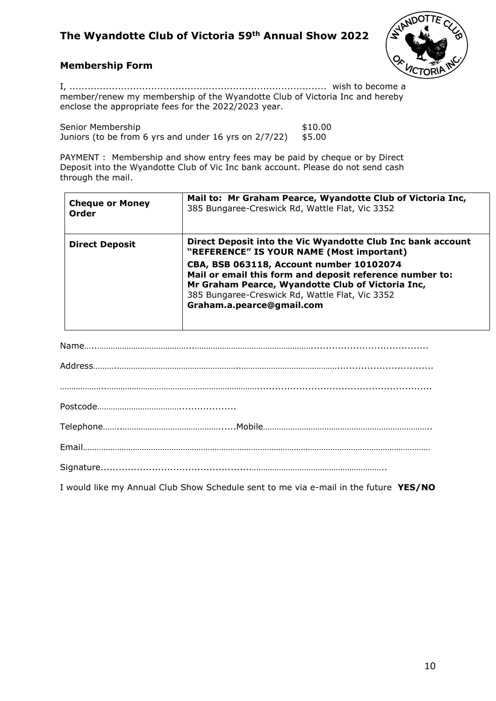

## **Membership Form**

I, ..................................................................................... wish to become a member/renew my membership of the Wyandotte Club of Victoria Inc and hereby enclose the appropriate fees for the 2022/2023 year.

Senior Membership  $$10.00$ Juniors (to be from 6 yrs and under 16 yrs on  $2/7/22$ ) \$5.00

PAYMENT : Membership and show entry fees may be paid by cheque or by Direct Deposit into the Wyandotte Club of Vic Inc bank account. Please do not send cash through the mail.

| <b>Cheque or Money</b> | Mail to: Mr Graham Pearce, Wyandotte Club of Victoria Inc,                                                                                                                                                                                                                                                                                            |
|------------------------|-------------------------------------------------------------------------------------------------------------------------------------------------------------------------------------------------------------------------------------------------------------------------------------------------------------------------------------------------------|
| Order                  | 385 Bungaree-Creswick Rd, Wattle Flat, Vic 3352                                                                                                                                                                                                                                                                                                       |
| <b>Direct Deposit</b>  | Direct Deposit into the Vic Wyandotte Club Inc bank account<br>"REFERENCE" IS YOUR NAME (Most important)<br>CBA, BSB 063118, Account number 10102074<br>Mail or email this form and deposit reference number to:<br>Mr Graham Pearce, Wyandotte Club of Victoria Inc,<br>385 Bungaree-Creswick Rd, Wattle Flat, Vic 3352<br>Graham.a.pearce@gmail.com |

I would like my Annual Club Show Schedule sent to me via e-mail in the future **YES/NO**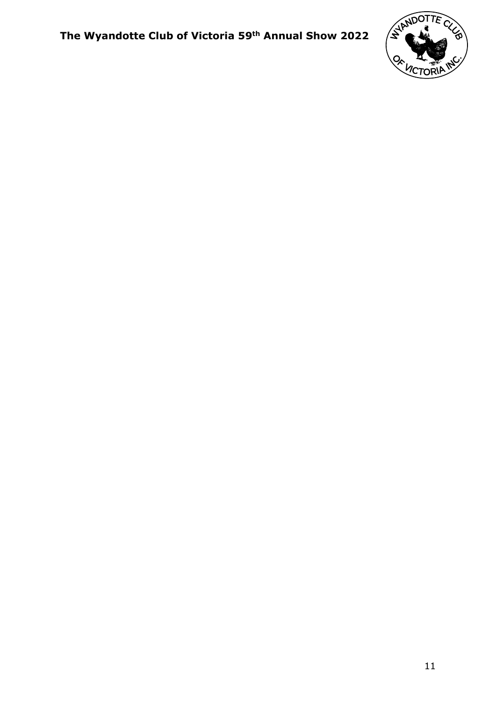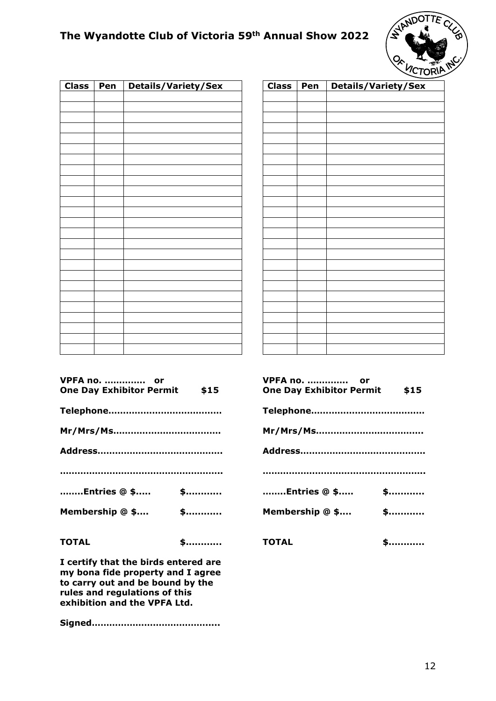

| <b>Class</b> | Pen | Details/Variety/Sex |
|--------------|-----|---------------------|
|              |     |                     |
|              |     |                     |
|              |     |                     |
|              |     |                     |
|              |     |                     |
|              |     |                     |
|              |     |                     |
|              |     |                     |
|              |     |                     |
|              |     |                     |
|              |     |                     |
|              |     |                     |
|              |     |                     |
|              |     |                     |
|              |     |                     |
|              |     |                     |
|              |     |                     |
|              |     |                     |
|              |     |                     |
|              |     |                     |
|              |     |                     |
|              |     |                     |
|              |     |                     |
|              |     |                     |

| Class Pen | Details/Variety/Sex |
|-----------|---------------------|
|           |                     |
|           |                     |
|           |                     |
|           |                     |
|           |                     |
|           |                     |
|           |                     |
|           |                     |
|           |                     |
|           |                     |
|           |                     |
|           |                     |
|           |                     |
|           |                     |
|           |                     |
|           |                     |
|           |                     |
|           |                     |
|           |                     |
|           |                     |
|           |                     |
|           |                     |
|           |                     |
|           |                     |
|           |                     |

| <b>VPFA no. </b> or<br>One Day Exhibitor Permit \$15 |        |
|------------------------------------------------------|--------|
| Telephone                                            |        |
|                                                      |        |
|                                                      |        |
|                                                      |        |
| Entries @ \$                                         | \$     |
| Membership @ \$                                      | $$$    |
| <b>TOTAL</b>                                         | \$………… |

**One Day Exhibitor Permit \$15 Telephone………………………………… Mr/Mrs/Ms………………………………. Address……………………………………. ……………………………………………….. ……..Entries @ \$..... \$............ Membership @ \$.... \$............** 

**TOTAL \$............**

**VPFA no. ………….. or**

**I certify that the birds entered are my bona fide property and I agree to carry out and be bound by the rules and regulations of this exhibition and the VPFA Ltd.**

**Signed………………………………….....**